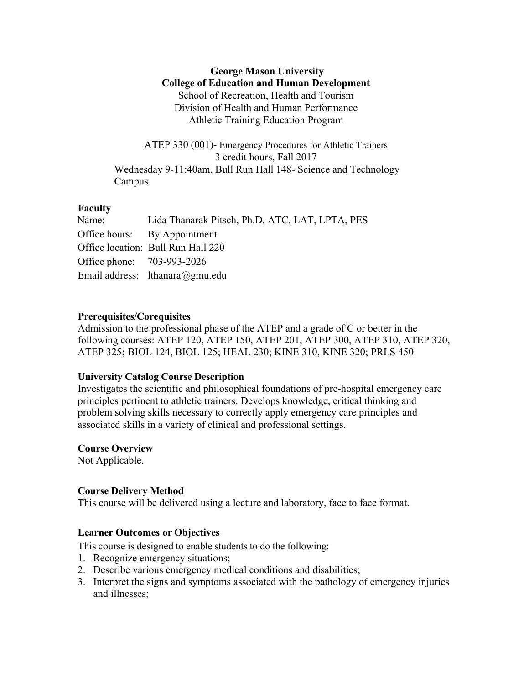## **George Mason University College of Education and Human Development** School of Recreation, Health and Tourism Division of Health and Human Performance Athletic Training Education Program

ATEP 330 (001)- Emergency Procedures for Athletic Trainers 3 credit hours, Fall 2017 Wednesday 9-11:40am, Bull Run Hall 148- Science and Technology Campus

## **Faculty**

| Name:                      | Lida Thanarak Pitsch, Ph.D. ATC, LAT, LPTA, PES |
|----------------------------|-------------------------------------------------|
|                            | Office hours: By Appointment                    |
|                            | Office location: Bull Run Hall 220              |
| Office phone: 703-993-2026 |                                                 |
|                            | Email address: lthanara@gmu.edu                 |

### **Prerequisites/Corequisites**

Admission to the professional phase of the ATEP and a grade of C or better in the following courses: ATEP 120, ATEP 150, ATEP 201, ATEP 300, ATEP 310, ATEP 320, ATEP 325**;** BIOL 124, BIOL 125; HEAL 230; KINE 310, KINE 320; PRLS 450

### **University Catalog Course Description**

Investigates the scientific and philosophical foundations of pre-hospital emergency care principles pertinent to athletic trainers. Develops knowledge, critical thinking and problem solving skills necessary to correctly apply emergency care principles and associated skills in a variety of clinical and professional settings.

### **Course Overview**

Not Applicable.

### **Course Delivery Method**

This course will be delivered using a lecture and laboratory, face to face format.

### **Learner Outcomes or Objectives**

This course is designed to enable students to do the following:

- 1. Recognize emergency situations;
- 2. Describe various emergency medical conditions and disabilities;
- 3. Interpret the signs and symptoms associated with the pathology of emergency injuries and illnesses;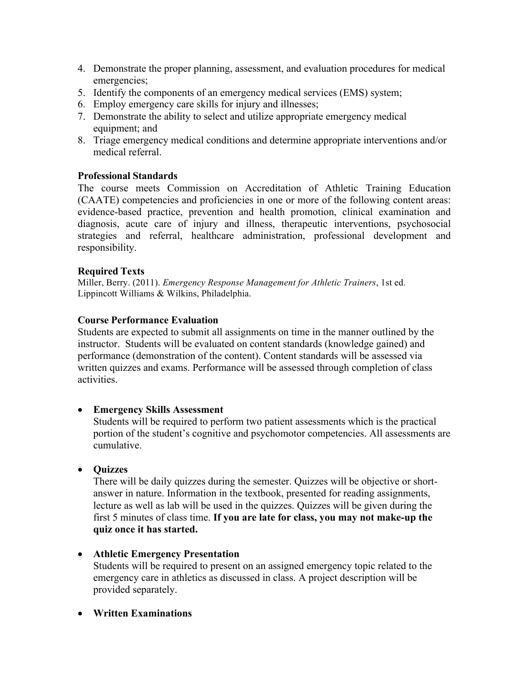- 4. Demonstrate the proper planning, assessment, and evaluation procedures for medical emergencies;
- 5. Identify the components of an emergency medical services (EMS) system;
- 6. Employ emergency care skills for injury and illnesses;
- 7. Demonstrate the ability to select and utilize appropriate emergency medical equipment; and
- 8. Triage emergency medical conditions and determine appropriate interventions and/or medical referral.

## **Professional Standards**

The course meets Commission on Accreditation of Athletic Training Education (CAATE) competencies and proficiencies in one or more of the following content areas: evidence-based practice, prevention and health promotion, clinical examination and diagnosis, acute care of injury and illness, therapeutic interventions, psychosocial strategies and referral, healthcare administration, professional development and responsibility.

## **Required Texts**

Miller, Berry. (2011). *Emergency Response Management for Athletic Trainers*, 1st ed. Lippincott Williams & Wilkins, Philadelphia.

## **Course Performance Evaluation**

Students are expected to submit all assignments on time in the manner outlined by the instructor. Students will be evaluated on content standards (knowledge gained) and performance (demonstration of the content). Content standards will be assessed via written quizzes and exams. Performance will be assessed through completion of class activities.

### • **Emergency Skills Assessment**

Students will be required to perform two patient assessments which is the practical portion of the student's cognitive and psychomotor competencies. All assessments are cumulative.

### • **Quizzes**

There will be daily quizzes during the semester. Quizzes will be objective or shortanswer in nature. Information in the textbook, presented for reading assignments, lecture as well as lab will be used in the quizzes. Quizzes will be given during the first 5 minutes of class time. **If you are late for class, you may not make-up the quiz once it has started.**

### • **Athletic Emergency Presentation**

Students will be required to present on an assigned emergency topic related to the emergency care in athletics as discussed in class. A project description will be provided separately.

• **Written Examinations**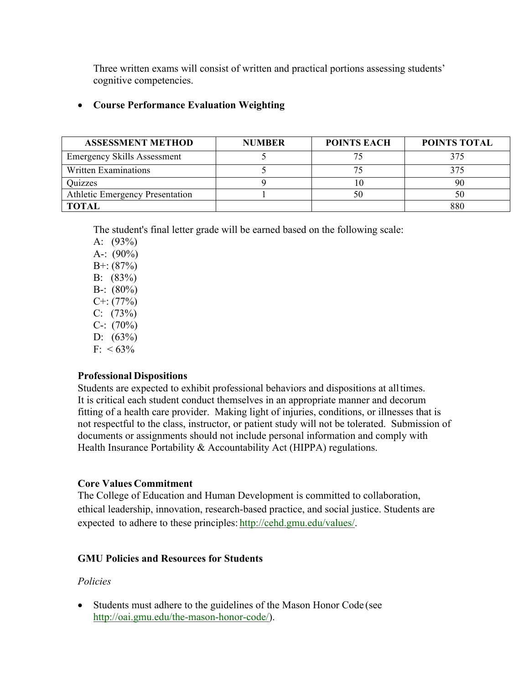Three written exams will consist of written and practical portions assessing students' cognitive competencies.

## • **Course Performance Evaluation Weighting**

| <b>ASSESSMENT METHOD</b>               | <b>NUMBER</b> | <b>POINTS EACH</b> | <b>POINTS TOTAL</b> |
|----------------------------------------|---------------|--------------------|---------------------|
| <b>Emergency Skills Assessment</b>     |               |                    | 375                 |
| Written Examinations                   |               |                    | 375                 |
| Quizzes                                |               |                    | 90                  |
| <b>Athletic Emergency Presentation</b> |               |                    | 50                  |
| <b>TOTAL</b>                           |               |                    | 880                 |

The student's final letter grade will be earned based on the following scale:

A: (93%) A-:  $(90\%)$  $B^{+}$ : (87%) B: (83%) B-:  $(80\%)$  $C^{+}$ : (77%)  $C: (73%)$  $C-$ : (70%) D:  $(63%)$  $F: < 63\%$ 

## **Professional Dispositions**

Students are expected to exhibit professional behaviors and dispositions at alltimes. It is critical each student conduct themselves in an appropriate manner and decorum fitting of a health care provider. Making light of injuries, conditions, or illnesses that is not respectful to the class, instructor, or patient study will not be tolerated. Submission of documents or assignments should not include personal information and comply with Health Insurance Portability & Accountability Act (HIPPA) regulations.

## **Core Values Commitment**

The College of Education and Human Development is committed to collaboration, ethical leadership, innovation, research-based practice, and social justice. Students are expected to adhere to these principles: http://cehd.gmu.edu/values/.

## **GMU Policies and Resources for Students**

## *Policies*

• Students must adhere to the guidelines of the Mason Honor Code (see http://oai.gmu.edu/the-mason-honor-code/).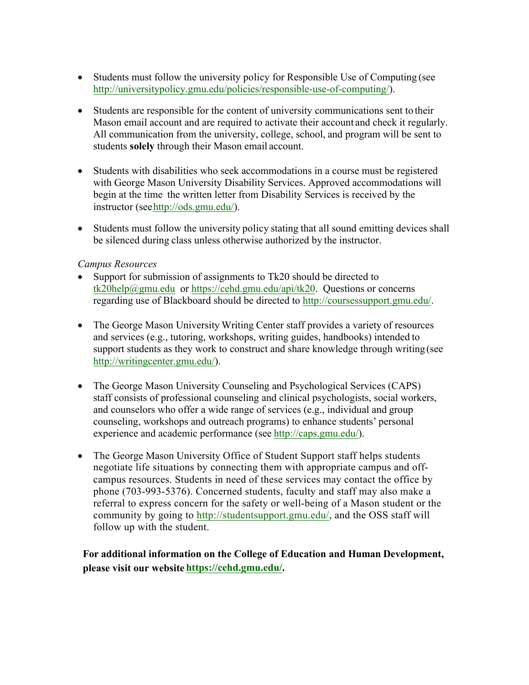- Students must follow the university policy for Responsible Use of Computing (see http://universitypolicy.gmu.edu/policies/responsible-use-of-computing/).
- Students are responsible for the content of university communications sent to their Mason email account and are required to activate their account and check it regularly. All communication from the university, college, school, and program will be sent to students **solely** through their Mason email account.
- Students with disabilities who seek accommodations in a course must be registered with George Mason University Disability Services. Approved accommodations will begin at the time the written letter from Disability Services is received by the instructor (seehttp://ods.gmu.edu/).
- Students must follow the university policy stating that all sound emitting devices shall be silenced during class unless otherwise authorized by the instructor.

## *Campus Resources*

- Support for submission of assignments to Tk20 should be directed to tk20help@gmu.edu or https://cehd.gmu.edu/api/tk20. Questions or concerns regarding use of Blackboard should be directed to http://coursessupport.gmu.edu/.
- The George Mason University Writing Center staff provides a variety of resources and services (e.g., tutoring, workshops, writing guides, handbooks) intended to support students as they work to construct and share knowledge through writing (see http://writingcenter.gmu.edu/).
- The George Mason University Counseling and Psychological Services (CAPS) staff consists of professional counseling and clinical psychologists, social workers, and counselors who offer a wide range of services (e.g., individual and group counseling, workshops and outreach programs) to enhance students' personal experience and academic performance (see http://caps.gmu.edu/).
- The George Mason University Office of Student Support staff helps students negotiate life situations by connecting them with appropriate campus and offcampus resources. Students in need of these services may contact the office by phone (703-993-5376). Concerned students, faculty and staff may also make a referral to express concern for the safety or well-being of a Mason student or the community by going to http://studentsupport.gmu.edu/, and the OSS staff will follow up with the student.

**For additional information on the College of Education and Human Development, please visit our website https://cehd.gmu.edu/.**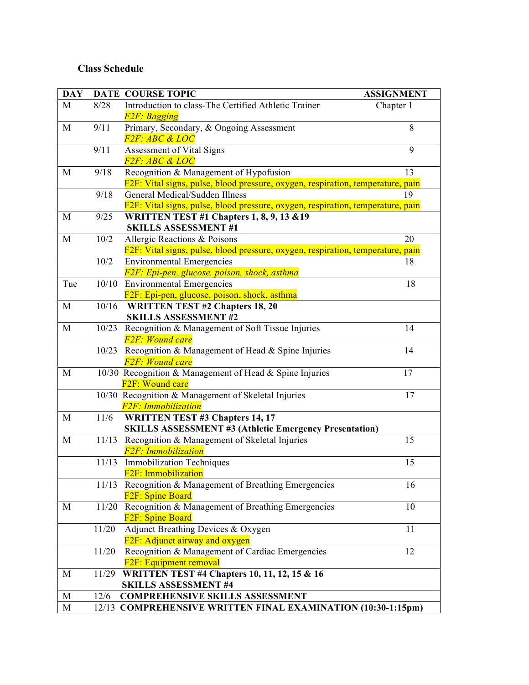# **Class Schedule**

| <b>DAY</b>  |       | DATE COURSE TOPIC                                                               | <b>ASSIGNMENT</b> |
|-------------|-------|---------------------------------------------------------------------------------|-------------------|
| M           | 8/28  | Introduction to class-The Certified Athletic Trainer                            | Chapter 1         |
|             |       | <b>F2F</b> : Bagging                                                            |                   |
| M           | 9/11  | Primary, Secondary, & Ongoing Assessment                                        | 8                 |
|             |       | <i>F2F: ABC &amp; LOC</i>                                                       |                   |
|             | 9/11  | Assessment of Vital Signs                                                       | 9                 |
|             |       | <b>F2F: ABC &amp; LOC</b>                                                       |                   |
| M           | 9/18  | Recognition & Management of Hypofusion                                          | 13                |
|             |       | F2F: Vital signs, pulse, blood pressure, oxygen, respiration, temperature, pain |                   |
|             | 9/18  | General Medical/Sudden Illness                                                  | 19                |
|             |       | F2F: Vital signs, pulse, blood pressure, oxygen, respiration, temperature, pain |                   |
| M           | 9/25  | <b>WRITTEN TEST #1 Chapters 1, 8, 9, 13 &amp; 19</b>                            |                   |
|             |       | <b>SKILLS ASSESSMENT#1</b>                                                      |                   |
| M           | 10/2  | Allergic Reactions & Poisons                                                    | 20                |
|             |       | F2F: Vital signs, pulse, blood pressure, oxygen, respiration, temperature, pain |                   |
|             | 10/2  | <b>Environmental Emergencies</b>                                                | 18                |
|             |       | F2F: Epi-pen, glucose, poison, shock, asthma                                    |                   |
| Tue         |       | 10/10 Environmental Emergencies                                                 | 18                |
|             |       | F2F: Epi-pen, glucose, poison, shock, asthma                                    |                   |
| M           | 10/16 | <b>WRITTEN TEST #2 Chapters 18, 20</b>                                          |                   |
|             |       | <b>SKILLS ASSESSMENT #2</b>                                                     |                   |
| M           | 10/23 | Recognition & Management of Soft Tissue Injuries                                | 14                |
|             |       | <b>F2F: Wound care</b>                                                          |                   |
|             | 10/23 | Recognition & Management of Head & Spine Injuries                               | 14                |
|             |       | <b>F2F: Wound care</b>                                                          |                   |
| $\mathbf M$ |       | 10/30 Recognition & Management of Head & Spine Injuries                         | 17                |
|             |       | F <sub>2F</sub> : Wound care                                                    |                   |
|             |       | 10/30 Recognition & Management of Skeletal Injuries                             | 17                |
|             |       | <b>F2F: Immobilization</b>                                                      |                   |
| M           | 11/6  | <b>WRITTEN TEST #3 Chapters 14, 17</b>                                          |                   |
|             |       | <b>SKILLS ASSESSMENT #3 (Athletic Emergency Presentation)</b>                   |                   |
| M           |       | 11/13 Recognition & Management of Skeletal Injuries                             | 15                |
|             |       | <b>F2F</b> : Immobilization                                                     |                   |
|             |       | 11/13 Immobilization Techniques                                                 | 15                |
|             |       | F2F: Immobilization                                                             |                   |
|             |       | 11/13 Recognition & Management of Breathing Emergencies                         | 16                |
|             |       | F <sub>2F</sub> : Spine Board                                                   |                   |
| M           |       | 11/20 Recognition & Management of Breathing Emergencies                         | 10                |
|             |       | F <sub>2F</sub> : Spine Board                                                   |                   |
|             | 11/20 | Adjunct Breathing Devices & Oxygen                                              | 11                |
|             |       | F2F: Adjunct airway and oxygen                                                  |                   |
|             | 11/20 | Recognition & Management of Cardiac Emergencies                                 | 12                |
|             |       | F <sub>2F</sub> : Equipment removal                                             |                   |
| M           |       | 11/29 WRITTEN TEST #4 Chapters 10, 11, 12, 15 & 16                              |                   |
|             |       | <b>SKILLS ASSESSMENT #4</b>                                                     |                   |
| M           | 12/6  | <b>COMPREHENSIVE SKILLS ASSESSMENT</b>                                          |                   |
| $\mathbf M$ |       | 12/13 COMPREHENSIVE WRITTEN FINAL EXAMINATION (10:30-1:15pm)                    |                   |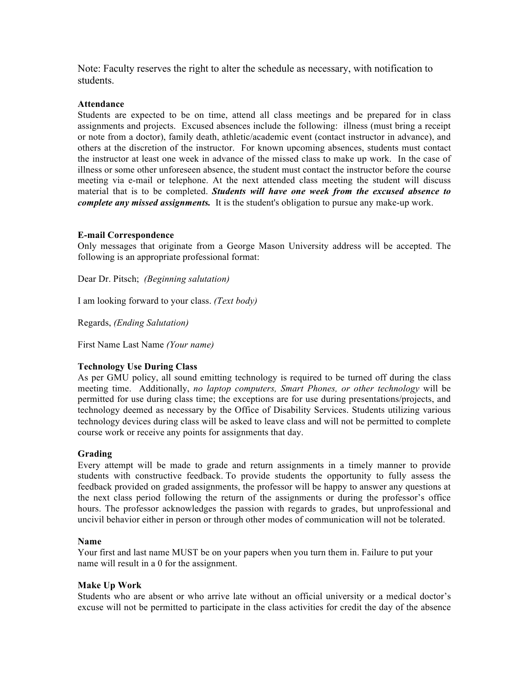Note: Faculty reserves the right to alter the schedule as necessary, with notification to students.

#### **Attendance**

Students are expected to be on time, attend all class meetings and be prepared for in class assignments and projects. Excused absences include the following: illness (must bring a receipt or note from a doctor), family death, athletic/academic event (contact instructor in advance), and others at the discretion of the instructor. For known upcoming absences, students must contact the instructor at least one week in advance of the missed class to make up work. In the case of illness or some other unforeseen absence, the student must contact the instructor before the course meeting via e-mail or telephone. At the next attended class meeting the student will discuss material that is to be completed. *Students will have one week from the excused absence to complete any missed assignments.* It is the student's obligation to pursue any make-up work.

#### **E-mail Correspondence**

Only messages that originate from a George Mason University address will be accepted. The following is an appropriate professional format:

Dear Dr. Pitsch; *(Beginning salutation)*

I am looking forward to your class. *(Text body)*

Regards, *(Ending Salutation)*

First Name Last Name *(Your name)*

#### **Technology Use During Class**

As per GMU policy, all sound emitting technology is required to be turned off during the class meeting time. Additionally, *no laptop computers, Smart Phones, or other technology* will be permitted for use during class time; the exceptions are for use during presentations/projects, and technology deemed as necessary by the Office of Disability Services. Students utilizing various technology devices during class will be asked to leave class and will not be permitted to complete course work or receive any points for assignments that day.

#### **Grading**

Every attempt will be made to grade and return assignments in a timely manner to provide students with constructive feedback. To provide students the opportunity to fully assess the feedback provided on graded assignments, the professor will be happy to answer any questions at the next class period following the return of the assignments or during the professor's office hours. The professor acknowledges the passion with regards to grades, but unprofessional and uncivil behavior either in person or through other modes of communication will not be tolerated.

#### **Name**

Your first and last name MUST be on your papers when you turn them in. Failure to put your name will result in a 0 for the assignment.

#### **Make Up Work**

Students who are absent or who arrive late without an official university or a medical doctor's excuse will not be permitted to participate in the class activities for credit the day of the absence